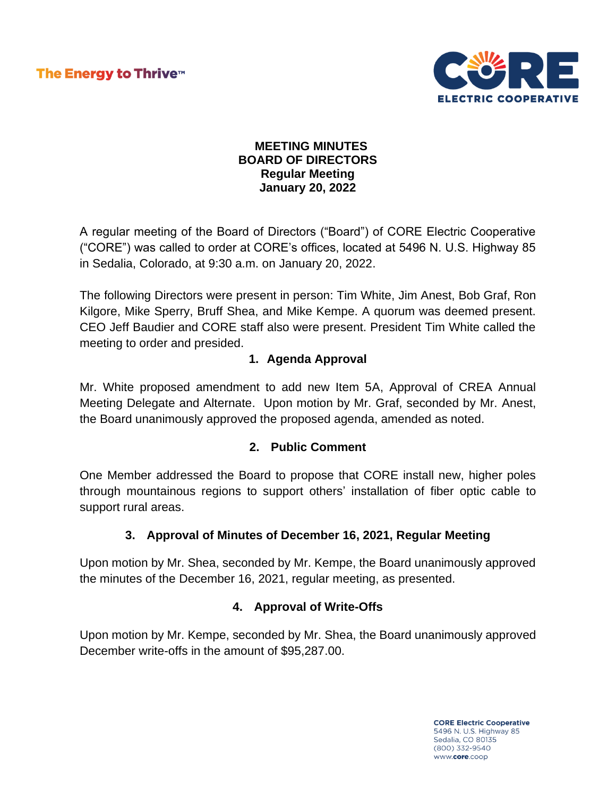The Energy to Thrive™



### **MEETING MINUTES BOARD OF DIRECTORS Regular Meeting January 20, 2022**

A regular meeting of the Board of Directors ("Board") of CORE Electric Cooperative ("CORE") was called to order at CORE's offices, located at 5496 N. U.S. Highway 85 in Sedalia, Colorado, at 9:30 a.m. on January 20, 2022.

The following Directors were present in person: Tim White, Jim Anest, Bob Graf, Ron Kilgore, Mike Sperry, Bruff Shea, and Mike Kempe. A quorum was deemed present. CEO Jeff Baudier and CORE staff also were present. President Tim White called the meeting to order and presided.

## **1. Agenda Approval**

Mr. White proposed amendment to add new Item 5A, Approval of CREA Annual Meeting Delegate and Alternate. Upon motion by Mr. Graf, seconded by Mr. Anest, the Board unanimously approved the proposed agenda, amended as noted.

## **2. Public Comment**

One Member addressed the Board to propose that CORE install new, higher poles through mountainous regions to support others' installation of fiber optic cable to support rural areas.

## **3. Approval of Minutes of December 16, 2021, Regular Meeting**

Upon motion by Mr. Shea, seconded by Mr. Kempe, the Board unanimously approved the minutes of the December 16, 2021, regular meeting, as presented.

## **4. Approval of Write-Offs**

Upon motion by Mr. Kempe, seconded by Mr. Shea, the Board unanimously approved December write-offs in the amount of \$95,287.00.

> **CORE Electric Cooperative** 5496 N. U.S. Highway 85 Sedalia, CO 80135 (800) 332-9540 www.core.coop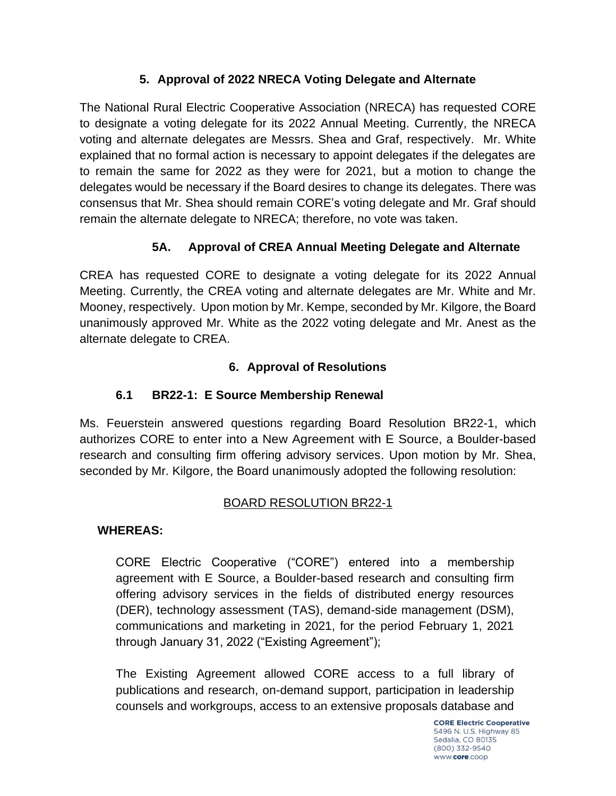## **5. Approval of 2022 NRECA Voting Delegate and Alternate**

The National Rural Electric Cooperative Association (NRECA) has requested CORE to designate a voting delegate for its 2022 Annual Meeting. Currently, the NRECA voting and alternate delegates are Messrs. Shea and Graf, respectively. Mr. White explained that no formal action is necessary to appoint delegates if the delegates are to remain the same for 2022 as they were for 2021, but a motion to change the delegates would be necessary if the Board desires to change its delegates. There was consensus that Mr. Shea should remain CORE's voting delegate and Mr. Graf should remain the alternate delegate to NRECA; therefore, no vote was taken.

# **5A. Approval of CREA Annual Meeting Delegate and Alternate**

CREA has requested CORE to designate a voting delegate for its 2022 Annual Meeting. Currently, the CREA voting and alternate delegates are Mr. White and Mr. Mooney, respectively. Upon motion by Mr. Kempe, seconded by Mr. Kilgore, the Board unanimously approved Mr. White as the 2022 voting delegate and Mr. Anest as the alternate delegate to CREA.

## **6. Approval of Resolutions**

# **6.1 BR22-1: E Source Membership Renewal**

Ms. Feuerstein answered questions regarding Board Resolution BR22-1, which authorizes CORE to enter into a New Agreement with E Source, a Boulder-based research and consulting firm offering advisory services. Upon motion by Mr. Shea, seconded by Mr. Kilgore, the Board unanimously adopted the following resolution:

## BOARD RESOLUTION BR22-1

## **WHEREAS:**

CORE Electric Cooperative ("CORE") entered into a membership agreement with E Source, a Boulder-based research and consulting firm offering advisory services in the fields of distributed energy resources (DER), technology assessment (TAS), demand-side management (DSM), communications and marketing in 2021, for the period February 1, 2021 through January 31, 2022 ("Existing Agreement");

The Existing Agreement allowed CORE access to a full library of publications and research, on-demand support, participation in leadership counsels and workgroups, access to an extensive proposals database and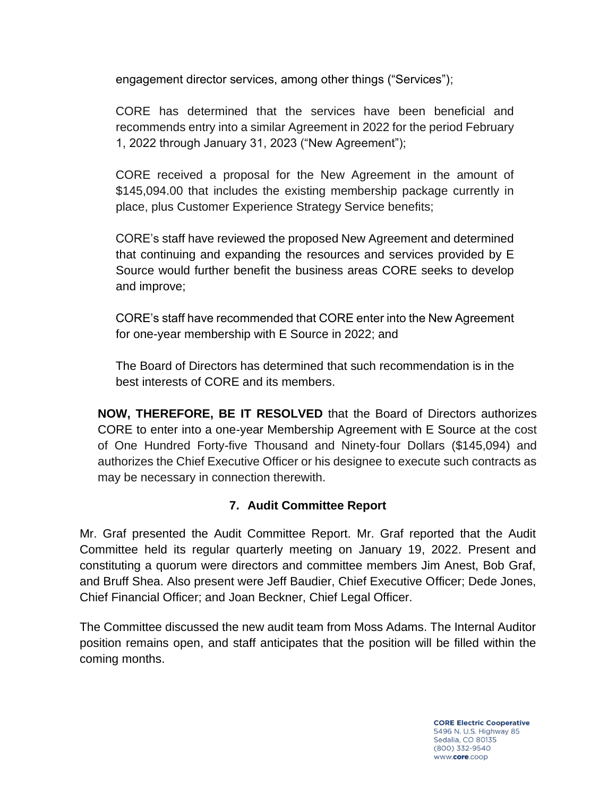engagement director services, among other things ("Services");

CORE has determined that the services have been beneficial and recommends entry into a similar Agreement in 2022 for the period February 1, 2022 through January 31, 2023 ("New Agreement");

CORE received a proposal for the New Agreement in the amount of \$145,094.00 that includes the existing membership package currently in place, plus Customer Experience Strategy Service benefits;

CORE's staff have reviewed the proposed New Agreement and determined that continuing and expanding the resources and services provided by E Source would further benefit the business areas CORE seeks to develop and improve;

CORE's staff have recommended that CORE enter into the New Agreement for one-year membership with E Source in 2022; and

The Board of Directors has determined that such recommendation is in the best interests of CORE and its members.

**NOW, THEREFORE, BE IT RESOLVED** that the Board of Directors authorizes CORE to enter into a one-year Membership Agreement with E Source at the cost of One Hundred Forty-five Thousand and Ninety-four Dollars (\$145,094) and authorizes the Chief Executive Officer or his designee to execute such contracts as may be necessary in connection therewith.

## **7. Audit Committee Report**

Mr. Graf presented the Audit Committee Report. Mr. Graf reported that the Audit Committee held its regular quarterly meeting on January 19, 2022. Present and constituting a quorum were directors and committee members Jim Anest, Bob Graf, and Bruff Shea. Also present were Jeff Baudier, Chief Executive Officer; Dede Jones, Chief Financial Officer; and Joan Beckner, Chief Legal Officer.

The Committee discussed the new audit team from Moss Adams. The Internal Auditor position remains open, and staff anticipates that the position will be filled within the coming months.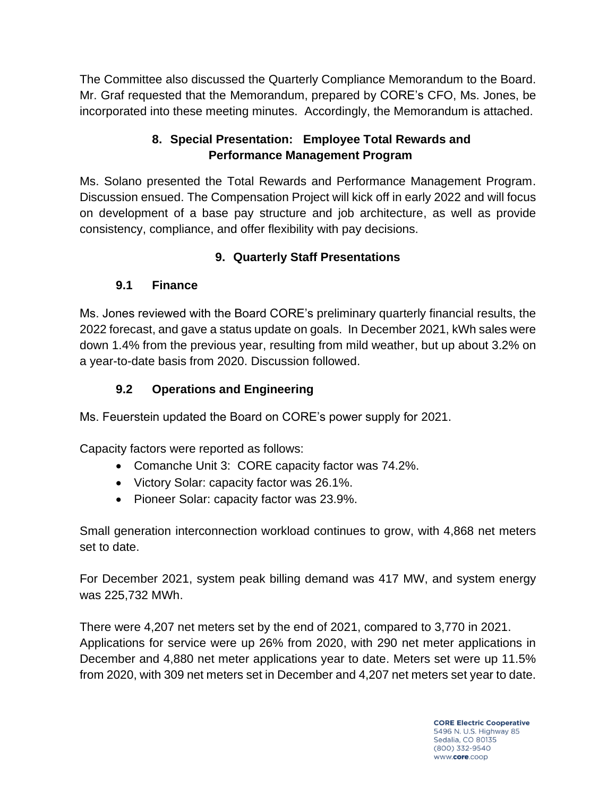The Committee also discussed the Quarterly Compliance Memorandum to the Board. Mr. Graf requested that the Memorandum, prepared by CORE's CFO, Ms. Jones, be incorporated into these meeting minutes. Accordingly, the Memorandum is attached.

## **8. Special Presentation: Employee Total Rewards and Performance Management Program**

Ms. Solano presented the Total Rewards and Performance Management Program. Discussion ensued. The Compensation Project will kick off in early 2022 and will focus on development of a base pay structure and job architecture, as well as provide consistency, compliance, and offer flexibility with pay decisions.

# **9. Quarterly Staff Presentations**

# **9.1 Finance**

Ms. Jones reviewed with the Board CORE's preliminary quarterly financial results, the 2022 forecast, and gave a status update on goals. In December 2021, kWh sales were down 1.4% from the previous year, resulting from mild weather, but up about 3.2% on a year-to-date basis from 2020. Discussion followed.

# **9.2 Operations and Engineering**

Ms. Feuerstein updated the Board on CORE's power supply for 2021.

Capacity factors were reported as follows:

- Comanche Unit 3: CORE capacity factor was 74.2%.
- Victory Solar: capacity factor was 26.1%.
- Pioneer Solar: capacity factor was 23.9%.

Small generation interconnection workload continues to grow, with 4,868 net meters set to date.

For December 2021, system peak billing demand was 417 MW, and system energy was 225,732 MWh.

There were 4,207 net meters set by the end of 2021, compared to 3,770 in 2021. Applications for service were up 26% from 2020, with 290 net meter applications in December and 4,880 net meter applications year to date. Meters set were up 11.5% from 2020, with 309 net meters set in December and 4,207 net meters set year to date.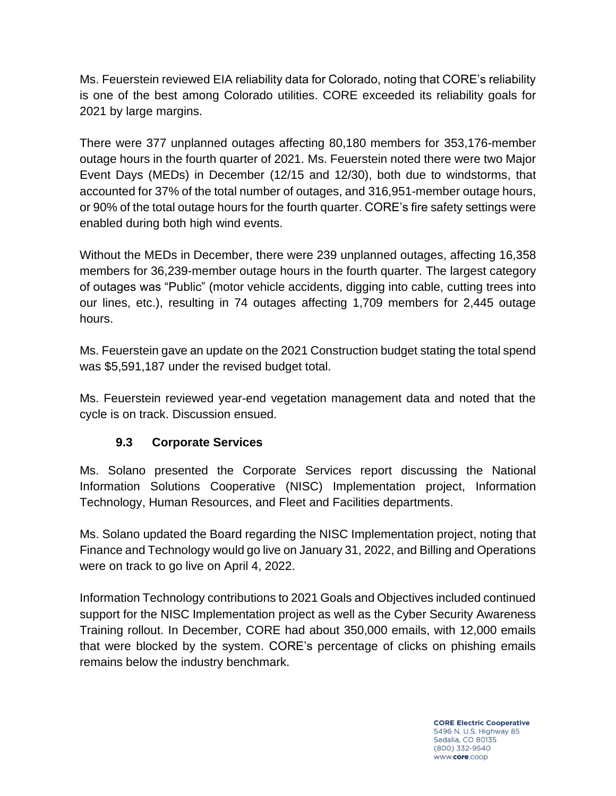Ms. Feuerstein reviewed EIA reliability data for Colorado, noting that CORE's reliability is one of the best among Colorado utilities. CORE exceeded its reliability goals for 2021 by large margins.

There were 377 unplanned outages affecting 80,180 members for 353,176-member outage hours in the fourth quarter of 2021. Ms. Feuerstein noted there were two Major Event Days (MEDs) in December (12/15 and 12/30), both due to windstorms, that accounted for 37% of the total number of outages, and 316,951-member outage hours, or 90% of the total outage hours for the fourth quarter. CORE's fire safety settings were enabled during both high wind events.

Without the MEDs in December, there were 239 unplanned outages, affecting 16,358 members for 36,239-member outage hours in the fourth quarter. The largest category of outages was "Public" (motor vehicle accidents, digging into cable, cutting trees into our lines, etc.), resulting in 74 outages affecting 1,709 members for 2,445 outage hours.

Ms. Feuerstein gave an update on the 2021 Construction budget stating the total spend was \$5,591,187 under the revised budget total.

Ms. Feuerstein reviewed year-end vegetation management data and noted that the cycle is on track. Discussion ensued.

## **9.3 Corporate Services**

Ms. Solano presented the Corporate Services report discussing the National Information Solutions Cooperative (NISC) Implementation project, Information Technology, Human Resources, and Fleet and Facilities departments.

Ms. Solano updated the Board regarding the NISC Implementation project, noting that Finance and Technology would go live on January 31, 2022, and Billing and Operations were on track to go live on April 4, 2022.

Information Technology contributions to 2021 Goals and Objectives included continued support for the NISC Implementation project as well as the Cyber Security Awareness Training rollout. In December, CORE had about 350,000 emails, with 12,000 emails that were blocked by the system. CORE's percentage of clicks on phishing emails remains below the industry benchmark.

> **CORE Electric Cooperative** 5496 N. U.S. Highway 85 Sedalia, CO 80135 (800) 332-9540 www.core.coop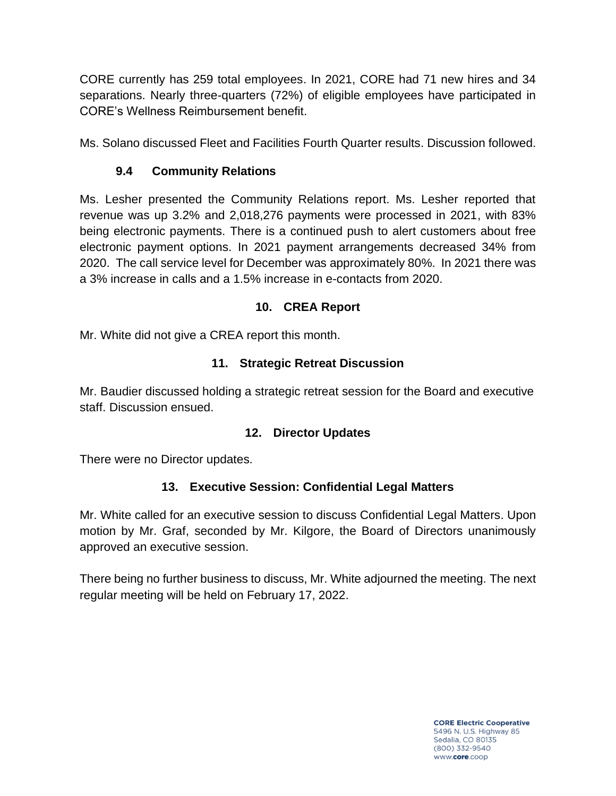CORE currently has 259 total employees. In 2021, CORE had 71 new hires and 34 separations. Nearly three-quarters (72%) of eligible employees have participated in CORE's Wellness Reimbursement benefit.

Ms. Solano discussed Fleet and Facilities Fourth Quarter results. Discussion followed.

## **9.4 Community Relations**

Ms. Lesher presented the Community Relations report. Ms. Lesher reported that revenue was up 3.2% and 2,018,276 payments were processed in 2021, with 83% being electronic payments. There is a continued push to alert customers about free electronic payment options. In 2021 payment arrangements decreased 34% from 2020. The call service level for December was approximately 80%. In 2021 there was a 3% increase in calls and a 1.5% increase in e-contacts from 2020.

## **10. CREA Report**

Mr. White did not give a CREA report this month.

## **11. Strategic Retreat Discussion**

Mr. Baudier discussed holding a strategic retreat session for the Board and executive staff. Discussion ensued.

## **12. Director Updates**

There were no Director updates.

## **13. Executive Session: Confidential Legal Matters**

Mr. White called for an executive session to discuss Confidential Legal Matters. Upon motion by Mr. Graf, seconded by Mr. Kilgore, the Board of Directors unanimously approved an executive session.

There being no further business to discuss, Mr. White adjourned the meeting. The next regular meeting will be held on February 17, 2022.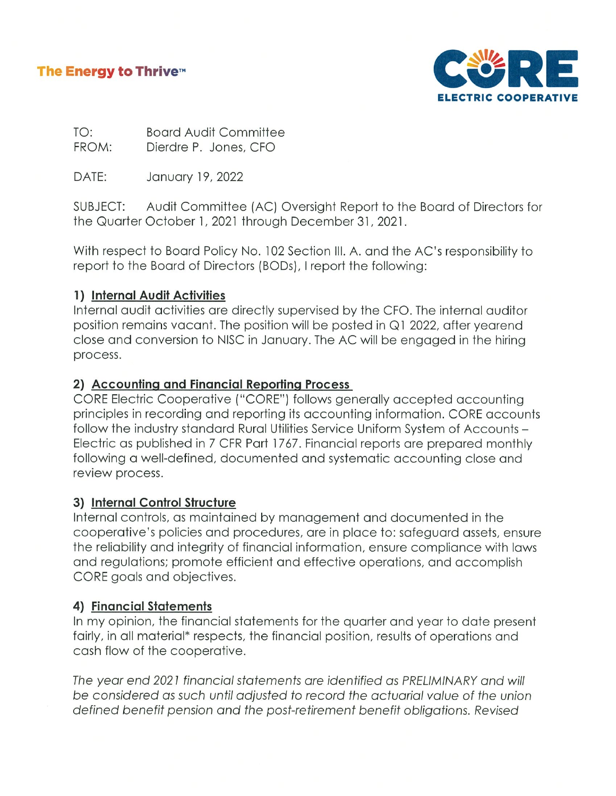### The Energy to Thrive™



TO: **Board Audit Committee** FROM: Dierdre P. Jones, CFO

DATE: January 19, 2022

SUBJECT: Audit Committee (AC) Oversight Report to the Board of Directors for the Quarter October 1, 2021 through December 31, 2021.

With respect to Board Policy No. 102 Section III. A. and the AC's responsibility to report to the Board of Directors (BODs), I report the following:

#### 1) Internal Audit Activities

Internal audit activities are directly supervised by the CFO. The internal auditor position remains vacant. The position will be posted in Q1 2022, after yearend close and conversion to NISC in January. The AC will be engaged in the hiring process.

#### 2) Accounting and Financial Reporting Process

CORE Electric Cooperative ("CORE") follows generally accepted accounting principles in recording and reporting its accounting information. CORE accounts follow the industry standard Rural Utilities Service Uniform System of Accounts -Electric as published in 7 CFR Part 1767. Financial reports are prepared monthly following a well-defined, documented and systematic accounting close and review process.

#### 3) Internal Control Structure

Internal controls, as maintained by management and documented in the cooperative's policies and procedures, are in place to: safeguard assets, ensure the reliability and integrity of financial information, ensure compliance with laws and regulations; promote efficient and effective operations, and accomplish CORE goals and objectives.

## 4) Financial Statements

In my opinion, the financial statements for the quarter and year to date present fairly, in all material\* respects, the financial position, results of operations and cash flow of the cooperative.

The year end 2021 financial statements are identified as PRELIMINARY and will be considered as such until adjusted to record the actuarial value of the union defined benefit pension and the post-retirement benefit obligations. Revised